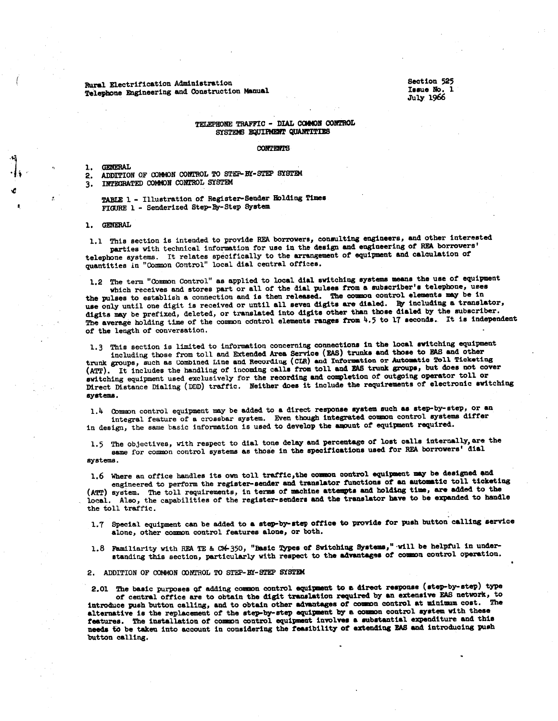Rural Electrification Administration Telephone Engineering and Construction Manual Section 525 Issue No. 1 Julf 1966

### TELEPHONE TRAFFIC - DIAL COMMON CONTROL SYSTEMS EQUIPMENT QUANTITIES

#### **CONTENTS**

l. GENERAL

2. ADDITION OF COMMON CONTROL TO STEP-BY-STEP SYSTEM

3. INTEGRATED COMMON CONTROL SYSTEM

TABLE 1 - Illustration of Register-Sender Holding Times FIGURE 1- Senderized Step-By-Step System

1. GENERAL

1.1 This section is intended to provide REA borrowers, consulting engineers, and other interested parties with technical information for use in the design and engineering of REA borrowers' telephone systems. It relates specifically to the arrangement of equipment and calculation of quantities in "Common Control" local dial central offices.

1.2 The term "Common Control" as applied to local dial switching systems means the use of equipment

which receives and stores part or all of the dial pulses from a subscriber's telephone, uses the pulses to establish a connection and is then released. The common control elements may be in use only until one digit is received or until all seven digits are dialed. By including a translator, digits may be prefixed, deleted, or translated into digits other than those dialed by the subscriber. The average holding time of the common control elements ranges from  $4.5$  to 17 seconds. It is independent of the length of conversation.

1.3 This section is limited to information concerning connections in the local switching equipment

including those from toll and Extended Area Service (EAS) trunks and tbose to EAS and other trunk groups, such as Combined Line and Recording (CIR) and Information or Automatic Toll Ticketing (ATT). It includes the handling of incoming calls from toll and EAS trunk groups, but does not cover switching equipment used exclusively for the recording and completion of outgoing operator toll or Direct Distance Dialing (DDD) traffic. Neither does it include the requirements of electronic switching systems.

1.4 Common control equipment may be added to a direct response system such as step-by-step, or an integral feature of a crossbar system. Even though integrated common control systems differ in design, the same basic information is used to develop the amount of equipment required.

1.5 The objectives, with respect to dial tone delay and percentage of lost calls internally, are the same for common control systems as those in the specifications used for REA borrowers' dial systems.

1.6 Where an office handles its own toll traffic, the common control equipment may be designed and engineered to perform the register-sender and translator functions of an automatic toll ticketing

(ATT) system. The toll requirements, in terms of machine attempts and holding time, are added to the local. Also, the capabilities of the register-senders and the translator have to be expanded to handle the toll traffic.

1.7 Special equipment can be added to a step-by-step office to provide tor push button' calling service alone, other common control features alone, or both.

1.8 Familiarity with REATE & CM-350, "Basic Types of Switching Systems," will be helpful in understanding this section, particularly with respect to the advantages of common control operation.

2. ADDITION OF COMMON CONTROL TO STEP-BY-STEP SYSTEM

2.01 The basic purposes of adding common control equipment to a direct response (step-by-step) type of central office are to obtain the digit translation required by an extensive EAS network, to introduce push button calling, and to obtain other advantages of common control at minimum cost. alternative is the replacement of the step-by-step equipment by a common control system with these features. The installation of common control equipment involves a substantial expenditure and this needs to be taken into account in considering the reasibility of extending EAS and introducing push button calling.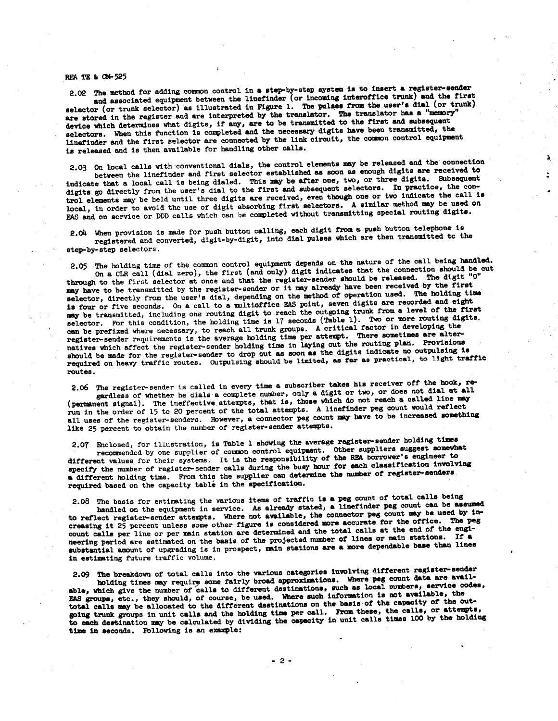#### REA TE & CM-525

2.02 The method for adding common control in a step-by-step system is to insert a register-sender and associated equipment between the linefinder (or incoming interoffice trunk) and the first selector (or trunk selector) as illustrated in Figure 1. The pulses from the user's dial (or trunk) are stored in the register and are interpreted by the translator. The translator has a "memory" device which determines what digits, if any, are to be transmitted to the first and subsequent selectors. When this function is completed and the necessary digits have been transmitted, the linefinder and the first selector are connected by the link circuit, the common control equipment is released and is then available for handling other calls.

2.03 On local calls with ·conventional dials, the control elements may be released and the connection between the linefinder and first selector established as soon as enough digits are received to indicate that a local call is being dialed. This may be after one, two, or three digits. Subsequent digits go directly from the user's dial to the first and subsequent selectors. In practice, the control elements may be held until three digits are received, even though one or two indicate the call is local, in order to avoid the use of digit absorbing first selectors. A similar method may be used on EAS and on service or DDD calls which can be completed without transmitting special routing digits.

R. å.

2,o4 When provision is made for push button calling, each digit from a push button telephone is registered and converted, digit-by-digit, into dial pulses which are then transmitted tc the step-by-step selectors.

2.05 The holding time of the common control equipment depends on the nature of the call being handled. On a CLR call (dial zero), the first (and only) digit indicates that the connection should be cut through to the first selector at once and that the register-sender should be released. The digit "O" may have to be transmitted by the register-sender or it may already have been received by the first selector, directly from the user's dial, depending on the method of operation used. The holding time is four or five seconds. On a call to a multioffice EAS point, seven digits are recorded and eight may be transmitted, including one routing digit to reach the outgoing trunk from a level of the first selector. For this condition, the holding time is 17 seconds (Table 1). Two or more routing digits. can be prefixed where necessary, to reach all trunk groups. A critical factor in developing the register-sender requirements is the average holding time per attempt. There sometimes are alternatives which affect the register-sender holding time in laying out the routing plan. Provisions should be made for the register-sender to drop out as soon as the digits indicate no outpulsing is required on heavy traffic routes. Outpulsing should be limited, as far as practical, to light traffic routes.

2.o6 The register-sender is called in every time a subscriber takes his receiver off the hook, regardless of whether he dials a complete number, only a digit or two, or does not dial at all (permanent signal). The ineffective attempts, that is, those which do not reach a called line may run in the order of 15 to 20 percent of the total attempts. A linefinder peg count would reflect all uses of the register-senders. However, a connector peg count may have to be increased something like 25 percent to obtain the number of register-sender attempts.

2.07 Enclosed, for illustration, is Table 1 showing the average register-sender holding times recommended by one supplier of common control equipment. Other suppliers suggest somewhat different values for their systems. It is the responsibility of the REA borrower's engineer to different values for their systems. It is the responsibility of the REA borrower's engineer to specify the number of register-sender calls during the busy hour for each classification involving a different holding time. From this the supplier can determine the number of register-senders required based on the capacity table in the specification.

2.08 The basis for estimating the various items of traffic is a peg count of total calls being handled on the equipment in service. As already stated, a linefinder peg count can be assumed to reflect register-sender attempts. Where not available, the connector peg count may be used by increasing it 25 percent unless some other figure is considered more accurate for the office. The peg count calls per line or per main station are determined and the total calls at the end of the engineering period are estimated on the basis of the projected number of lines or main stations. If a substantial amount of upgrading is in prospect, main stations are a more dependable base than lines in estimating future traffic volume.

2.09 The breakdown of total calls into the various categories involving different register-sender holding times may require some fairly broad approximations. Where peg count data are available, which give the number of calls to different destinations, such as local mumbers, service codes, EAS groups, etc., they should, of course, be used. Where such information is not available, the total calls may be allocated to the different destinations on the basis-of the capacity of the outwound trunk groups in unit calls and the holding time per call. From these, the calls, or attempts, going trunk groups in unit calls and the holding time per call. From these, the calls, or attempts, to each destination ma time in seconds, Following is an example: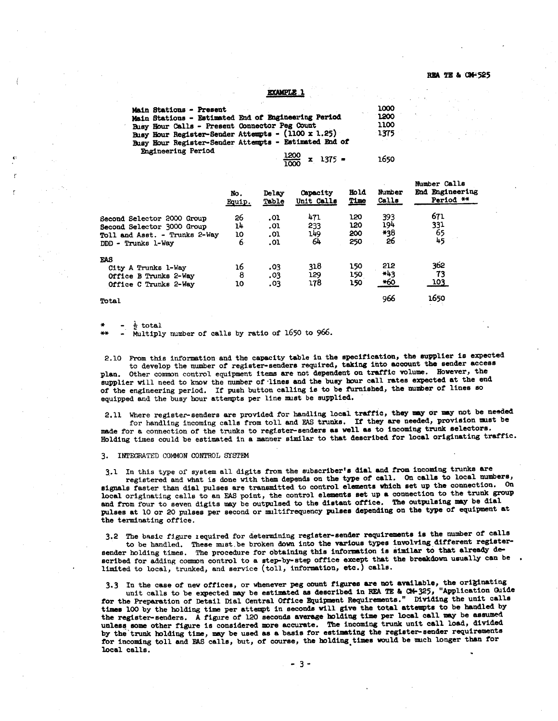$270$ 

```
EXAMPLE 1
```

| <b>Main Stations - Present</b>                        | 1000 |
|-------------------------------------------------------|------|
| Main Stations - Estimated End of Engineering Period   | 1200 |
| Busy Hour Calls - Present Connector Peg Count         | 1100 |
| Busy Hour Register-Sender Attempts - (1100 x 1.25)    | 1375 |
| Busy Hour Register-Sender Attempts - Estimated End of |      |
| Engineering Period<br>$\frac{1200}{1000}$ x 1375 =    | 1650 |

|                                                                              | No.<br>Equip. | Delay<br>Table    | Capacity<br>Unit Calls | <b>Hold</b><br>Time | Number<br>Calls            | MUNICI VOLLO<br>End Engineering<br>Period ** |
|------------------------------------------------------------------------------|---------------|-------------------|------------------------|---------------------|----------------------------|----------------------------------------------|
| Second Selector 2000 Group<br><b>Second Selector 3000 Group</b>              | 26<br>14      | .01<br>.01        | 471<br>233             | 120<br>120          | 393<br>194                 | 671<br>331                                   |
| Toll and Asst. - Trunks 2-Way<br>DDD - Trunks 1-Wav                          | 10<br>6       | .01<br>.01        | 149<br>64              | 200<br>250          | *38<br>26                  | $65$<br>45                                   |
| FAS<br>City A Trunks 1-Way<br>Office B Trunks 2-Way<br>Office C Trunks 2-Way | 16<br>8<br>10 | .03<br>.03<br>.03 | 318<br>129<br>178      | 150<br>150<br>150   | 212<br>$+43$<br><u>*60</u> | 362<br>73<br><u> 103.</u>                    |
| Total                                                                        |               |                   |                        |                     | 966                        | 1650                                         |

 $\frac{1}{2}$  total

Multiply number of calls by ratio of 1650 to 966.

2.10 From this information and the capacity table in the specification, the supplier is expected to develop the number of register-senders required, taking into account the sender access Other common control equipment items are not dependent on traffic volume. However, the supplier will need to know the number of lines and the busy hour call rates expected at the end of the engineering period. If push button calling is to be furnished, the number of lines so equipped and the busy hour attempts per line must be supplied.

2.11 Where register-senders are provided for handling local traffic, they may or may not be needed for handling incoming calls from toll and EAS trunks. If they are needed, provision must be made for a connection of the trunks to register-senders as well as to incoming trunk selectors. Holding times could be estimated in a manner similar to that described for local originating traffic.

#### 3. INTEGRATED COMMON CONTROL SYSTEM

3.1 In this type of system all digits from the subscriber's dial and from incoming trunks are registered and what is done with them depends on the type of call. On calls to local numbers, signals faster than dial pulses are transmitted to control elements which set up the connection. On local originating calls to an EAS point, the control elements set up a connection to the trunk group and from four to seven digits may be outpulsed to the distant office. The outpulsing may be dial pulses at 10 or 20 pulses per second or multifrequency pulses depending on the type of equipment at the terminating office.

The basic figure required for determining register-sender requirements is the number of calls  $3.2^{\circ}$ to be handled. These must be broken down into the various types involving different registersender holding times. The procedure for obtaining this information is similar to that already described for adding common control to a step-by-step office except that the breakdown usually can be limited to local, trunked, and service (toll, information, etc.) calls.

3.3 In the case of new offices, or whenever peg count figures are not available, the originating<br>unit calls to be expected may be estimated as described in REA TE & CM-325, "Application Guide for the Preparation of Detail Dial Central Office Equipment Requirements." Dividing the unit calls times 100 by the holding time per attempt in seconds will give the total attempts to be handled by the register-senders. A figure of 120 seconds average holding time per local call may be assumed<br>unless some other figure is considered more accurate. The incoming trunk unit call load, divided<br>by the trunk holding time, m for incoming toll and EAS calls, but, of course, the holding times would be much longer than for local calls.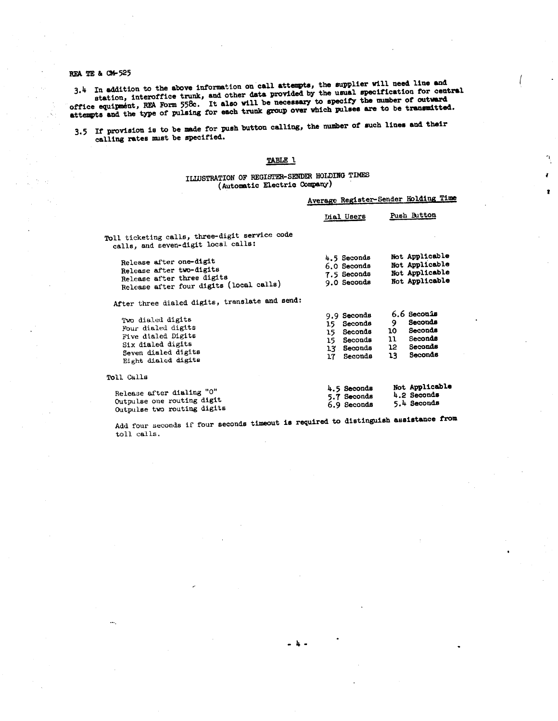## REA TE & CM-525

3.4 In addition to the above information on call attempts, the supplier will need line and station, interoffice trunk, and other data provided by the usual specification for central office equipment, REA Form 558c. It also will be necessary to specify the number of outward<br>attempts and the type of pulsing for each trunk group over which pulses are to be transmitted.

3.5 If provision is to be made for push button calling, the number of such lines and their calling rates must be specified.

### TABLE 1

 $\boldsymbol{r}$ 

 $\pmb{r}$ 

## ILLUSTRATION OF REGISTER-SENDER HOLDING TIMES (Automatic Electric Company)

|                                                                                                                                  | Average Register-Sender Holding Time                                                 |                                                                                                                   |
|----------------------------------------------------------------------------------------------------------------------------------|--------------------------------------------------------------------------------------|-------------------------------------------------------------------------------------------------------------------|
|                                                                                                                                  | Dial Users                                                                           | Push Button                                                                                                       |
| Toll ticketing calls, three-digit service code<br>calls, and seven-digit local calls:                                            |                                                                                      |                                                                                                                   |
| Release after one-digit<br>Release after two-digits<br>Release after three digits<br>Release after four digits (local calls)     | 4.5 Seconds<br>6.0 Seconds<br>7.5 Seconds<br>9.0 Seconds                             | Not Applicable<br>Not Applicable<br>Not Applicable<br>Not Applicable                                              |
| After three dialed digits, translate and send:                                                                                   |                                                                                      |                                                                                                                   |
| Two dialed digits<br>Four dialed digits<br>Five dialed Digits<br>Six dialed digits<br>Seven dialed digits<br>Eight dialed digits | 9.9 Seconds<br>15 Seconds<br>15 Seconds<br>15 Seconds<br>13 Seconds<br>Seconds<br>17 | 6.6 Seconis<br>Seconds<br>9<br>Seconds<br>10 -<br>Seconds<br>$\mathfrak{u}$<br>12 Seconds<br><b>Seconds</b><br>13 |
| Toll Calls                                                                                                                       |                                                                                      |                                                                                                                   |
| n a coiceann agus ann UAU                                                                                                        | 4.5 Seconds                                                                          | Not Applicable                                                                                                    |

Add four seconds if four seconds timeout is required to distinguish assistance from toll calls.

4.2 Seconds

5.4 Seconds

5.7 Seconds

6.9 Seconds

Release after dialing "O"

Outpulse one routing digit

Outpulse two routing digits